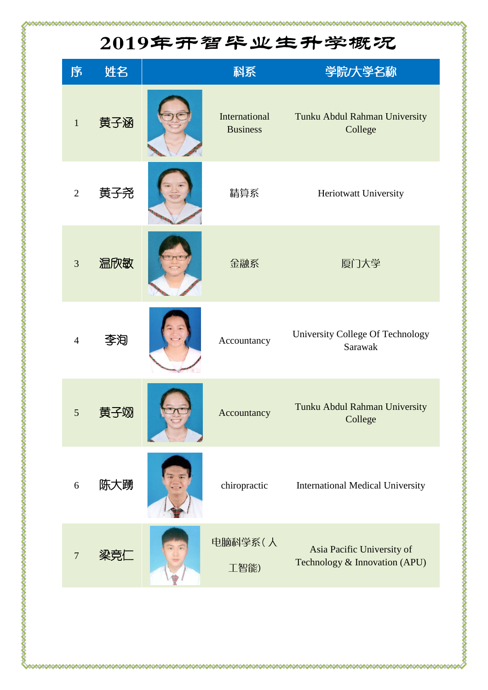## 2019年开智毕业生升学概况

| 序              | 姓名  | 科系                               | 学院大学名称                                                      |
|----------------|-----|----------------------------------|-------------------------------------------------------------|
| $\mathbf{1}$   | 黄子涵 | International<br><b>Business</b> | Tunku Abdul Rahman University<br>College                    |
| $\overline{2}$ | 黄子尧 | 精算系                              | Heriotwatt University                                       |
| 3              | 温欣敏 | 金融系                              | 厦门大学                                                        |
| $\overline{4}$ | 李洵  | Accountancy                      | University College Of Technology<br>Sarawak                 |
| 5              | 黄子泌 | Accountancy                      | Tunku Abdul Rahman University<br>College                    |
| 6              | 陈大踴 | chiropractic                     | <b>International Medical University</b>                     |
| $\overline{7}$ |     | 电脑科学系(人<br>工智能)                  | Asia Pacific University of<br>Technology & Innovation (APU) |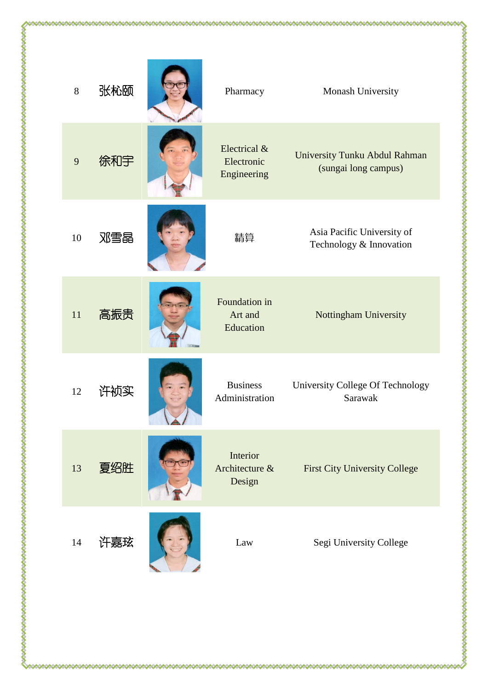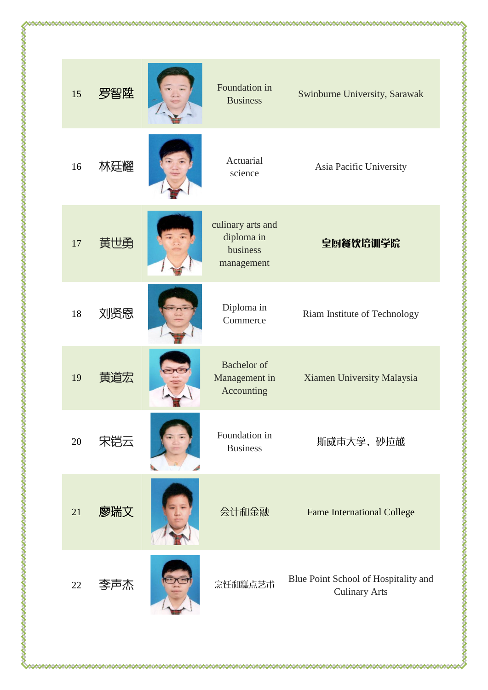

Asia Pacific University

皇厨餐饮培训学院

Xiamen University Malaysia

斯威市大学, 砂拉越

**Fame International College** 

**Culinary Arts**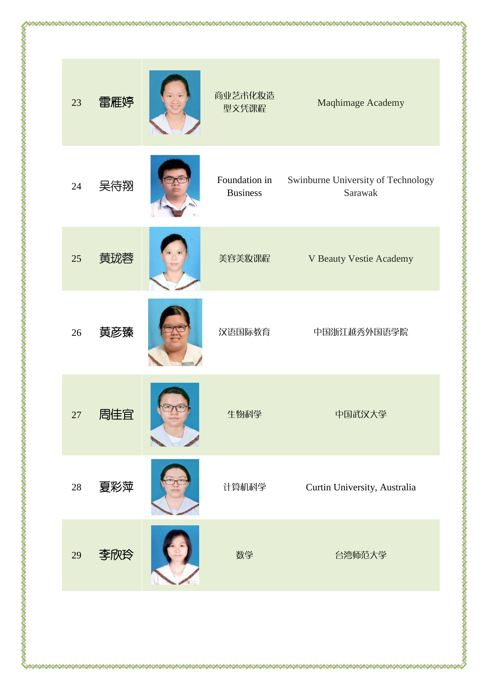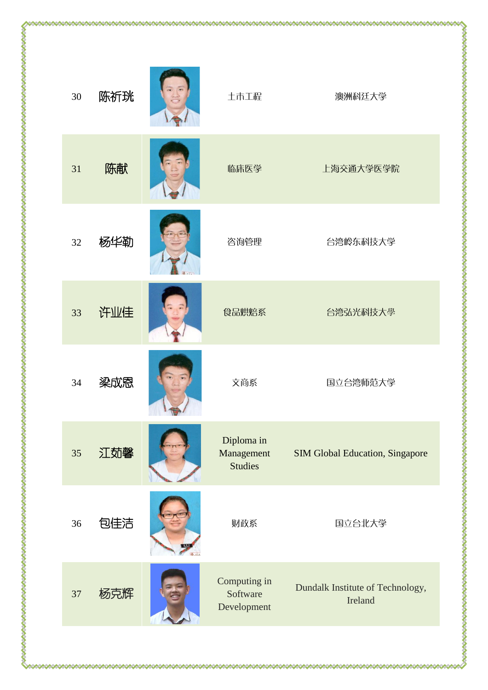